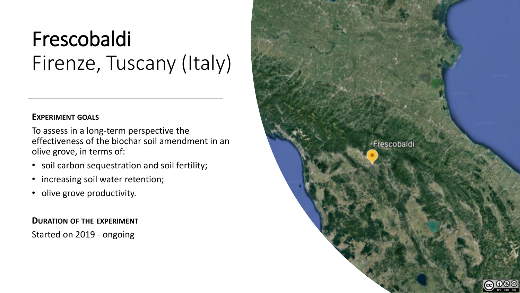# Frescobaldi Firenze, Tuscany (Italy)

#### **EXPERIMENT GOALS**

To assess in a long-term perspective the effectiveness of the biochar soil amendment in an olive grove, in terms of:

- soil carbon sequestration and soil fertility;
- increasing soil water retention;
- olive grove productivity.

**DURATION OF THE EXPERIMENT** Started on 2019 - ongoing

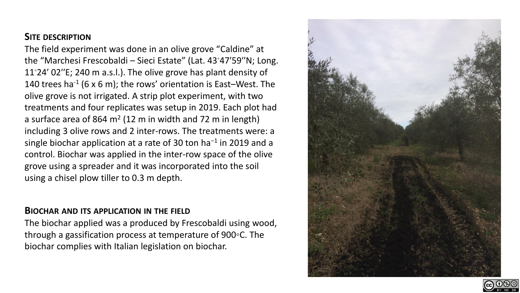## **SITE DESCRIPTION**

The field experiment was done in an olive grove "Caldine" at the "Marchesi Frescobaldi – Sieci Estate" (Lat. 43◦47′59′′N; Long. 11◦24′ 02′′E; 240 m a.s.l.). The olive grove has plant density of 140 trees ha<sup>-1</sup> (6 x 6 m); the rows' orientation is East-West. The olive grove is not irrigated. A strip plot experiment, with two treatments and four replicates was setup in 2019. Each plot had a surface area of 864  $m^2$  (12 m in width and 72 m in length) including 3 olive rows and 2 inter-rows. The treatments were: a single biochar application at a rate of 30 ton ha−1 in 2019 and a control. Biochar was applied in the inter-row space of the olive grove using a spreader and it was incorporated into the soil using a chisel plow tiller to 0.3 m depth.

#### **BIOCHAR AND ITS APPLICATION IN THE FIELD**

The biochar applied was a produced by Frescobaldi using wood, through a gassification process at temperature of 900◦C. The biochar complies with Italian legislation on biochar.



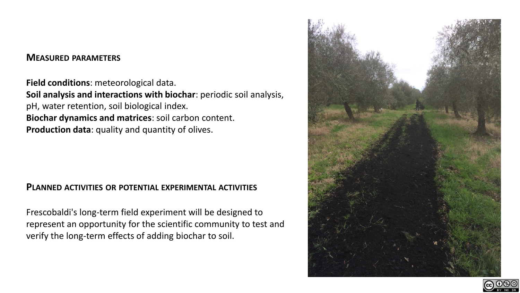#### **MEASURED PARAMETERS**

**Field conditions**: meteorological data. **Soil analysis and interactions with biochar**: periodic soil analysis, pH, water retention, soil biological index. **Biochar dynamics and matrices**: soil carbon content. **Production data**: quality and quantity of olives.

#### **PLANNED ACTIVITIES OR POTENTIAL EXPERIMENTAL ACTIVITIES**

Frescobaldi's long-term field experiment will be designed to represent an opportunity for the scientific community to test and verify the long-term effects of adding biochar to soil.